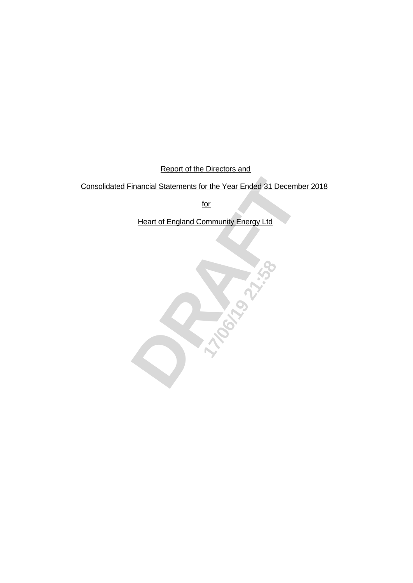Report of the Directors and

Consolidated Financial Statements for the Year Ended 31 December 2018

for

**Heart of England Community Energy Ltd** 

Financial Statements for the Year Ended 31 December 2018<br>
for<br>
Heart of England Community Energy Ltd<br> **1979**<br>
1989<br>
1989<br>
1989<br>
1989<br>
1989<br>
1989<br>
1989<br>
1989<br>
1989<br>
1989<br>
1989<br>
1989<br>
1989<br>
1989<br>
1989<br>
1989<br>
1989<br>
1989<br>
1989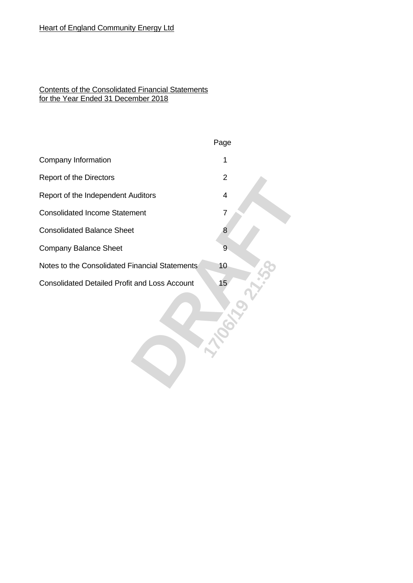# Contents of the Consolidated Financial Statements for the Year Ended 31 December 2018

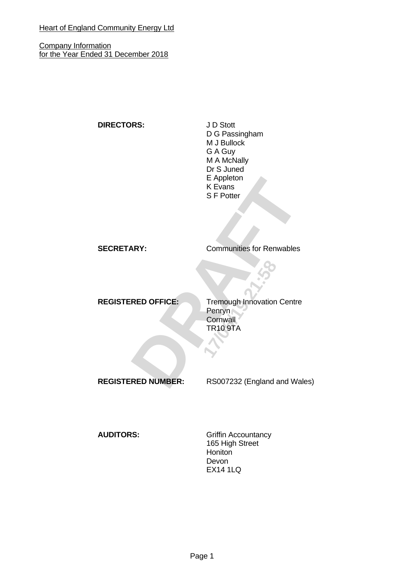#### Company Information for the Year Ended 31 December 2018

E Appleton<br>
K Evans<br>
S F Potter<br> **ARY:**<br>
Communities for Renwables<br> **PRED OFFICE:**<br>
Tremough Innovation Centre<br>
Comwall<br>
TR10 9TA<br>
TR10 9TA<br>
RED NUMBER:<br>
RED NUMBER:<br>
RS007232 (England and Wales) **DIRECTORS:** J D Stott D G Passingham M J Bullock G A Guy M A McNally Dr S Juned E Appleton K Evans S F Potter

**SECRETARY:** Communities for Renwables

**REGISTERED OFFICE:** Tremough Innovation Centre Penryn **Cornwall** TR10 9TA

**REGISTERED NUMBER:** RS007232 (England and Wales)

**AUDITORS:** Griffin Accountancy 165 High Street **Honiton** Devon EX14 1LQ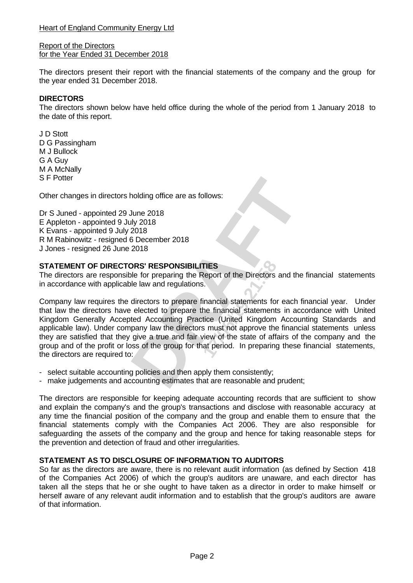Report of the Directors for the Year Ended 31 December 2018

The directors present their report with the financial statements of the company and the group for the year ended 31 December 2018.

# **DIRECTORS**

The directors shown below have held office during the whole of the period from 1 January 2018 to the date of this report.

J D Stott D G Passingham M J Bullock G A Guy M A McNally S F Potter

Other changes in directors holding office are as follows:

Dr S Juned - appointed 29 June 2018 E Appleton - appointed 9 July 2018 K Evans - appointed 9 July 2018 R M Rabinowitz - resigned 6 December 2018 J Jones - resigned 26 June 2018

# **STATEMENT OF DIRECTORS' RESPONSIBILITIES**

The directors are responsible for preparing the Report of the Directors and the financial statements in accordance with applicable law and regulations.

holding office are as follows:<br>
June 2018<br>
2018<br> **17/2018**<br> **17/2018**<br> **18/2018**<br> **18/2018**<br> **18/2018**<br> **18/2018**<br> **18/2018**<br> **18/2018**<br> **18/2018**<br> **18/2018**<br> **18/2018**<br> **18/2018**<br> **18/2018**<br> **18/2019**<br> **19/2019**<br> **19/2019** Company law requires the directors to prepare financial statements for each financial year. Under that law the directors have elected to prepare the financial statements in accordance with United Kingdom Generally Accepted Accounting Practice (United Kingdom Accounting Standards and applicable law). Under company law the directors must notapprove the financial statements unless they are satisfied that they give a true and fair view of the state of affairs of the company and the group and of the profit or loss of the group for that period. In preparing these financial statements,

- the directors are required to:<br>
 select suitable accounting policies and then apply them consistently;<br>
 make judgements and accounting estimates that are reasonable and prudent;
- 

The directors are responsible for keeping adequate accounting records that are sufficient to show and explain the company's and the group's transactions and disclose with reasonable accuracy at any time the financial position of the company and the group and enable them to ensure that the financial statements comply with the Companies Act 2006. They are also responsible for safeguarding the assets of the company and the group and hence for taking reasonable steps for the prevention and detection of fraud and other irregularities.

#### **STATEMENT AS TO DISCLOSURE OF INFORMATION TO AUDITORS**

So far as the directors are aware, there is no relevant audit information (as defined by Section 418 of the Companies Act 2006) of which the group's auditors are unaware, and each director has taken all the steps that he or she ought to have taken as a director in order to make himself or herself aware of any relevant audit information and to establish that the group's auditors are aware of that information.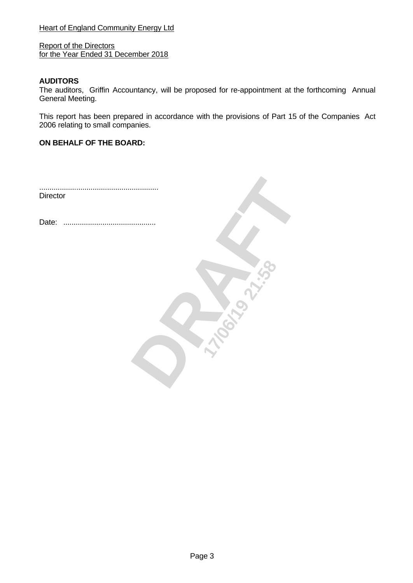Report of the Directors for the Year Ended 31 December 2018

## **AUDITORS**

The auditors, Griffin Accountancy, will be proposed for re-appointment at the forthcoming Annual General Meeting.

This report has been prepared in accordance with the provisions of Part 15 of the Companies Act 2006 relating to small companies.

# **ON BEHALF OF THE BOARD:**

.......................................................... **Director** 

Date: .............................................

**DRAFT** RAFTAS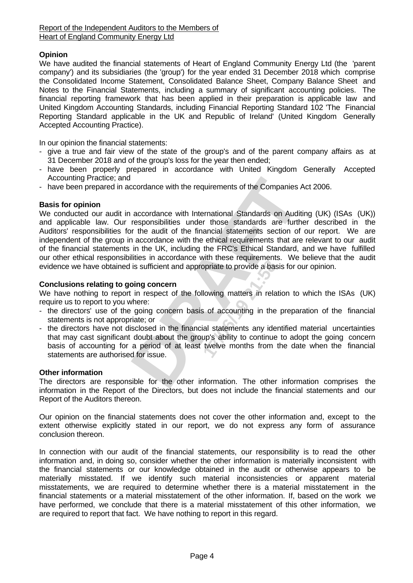# **Opinion**

We have audited the financial statements of Heart of England Community Energy Ltd (the 'parent company') and its subsidiaries (the 'group') for the year ended 31 December 2018 which comprise the Consolidated Income Statement, Consolidated Balance Sheet, Company Balance Sheet and Notes to the Financial Statements, including a summary of significant accounting policies. The financial reporting framework that has been applied in their preparation is applicable law and United Kingdom Accounting Standards, including Financial Reporting Standard 102 'The Financial Reporting Standard applicable in the UK and Republic of Ireland' (United Kingdom Generally Accepted Accounting Practice).

In our opinion the financial statements:

- give a true and fair view of the state of the group's and of the parent company affairs as at 31 December 2018 and of the group's loss for the year then ended;<br>- have been properly prepared in accordance with United Kingdom Generally Accepted
- Accounting Practice; and have been prepared in accordance with the requirements of the Companies Act 2006.
- 

#### **Basis for opinion**

I<br>coordance with the requirements of the Companies Act 2006.<br>accordance with International Standards on Auditing (UK) (ISAs (UK))<br>responsibilities under those standards are further described in the<br>or the audit of the fina We conducted our audit in accordance with International Standards on Auditing (UK) (ISAs (UK)) and applicable law. Our responsibilities under those standards are further described in the Auditors' responsibilities for the audit of the financial statements section of our report. We are independent of the group in accordance with the ethical requirements that are relevant to our audit of the financial statements in the UK, including the FRC's Ethical Standard, and we have fulfilled our other ethical responsibilities in accordance with these requirements. We believe that the audit evidence we have obtained is sufficient and appropriate to provide a basis for our opinion.

# **Conclusions relating to going concern**

We have nothing to report in respect of the following matters in relation to which the ISAs (UK) require us to report to you where:

- the directors' use of the going concern basis of accounting in the preparation of the financial statements is not appropriate; or <br>- the directors have not disclosed in the financial statements any identified material uncertainties
- that may cast significant doubt about the group's ability to continue to adopt the going concern basis of accounting for a period of at least twelve months from the date when the financial statements are authorised for issue.

#### **Other information**

The directors are responsible for the other information. The other information comprises the information in the Report of the Directors, but does not include the financial statements and our Report of the Auditors thereon.

Our opinion on the financial statements does not cover the other information and, except to the extent otherwise explicitly stated in our report, we do not express any form of assurance conclusion thereon.

In connection with our audit of the financial statements, our responsibility is to read the other information and, in doing so, consider whether the other information is materially inconsistent with the financial statements or our knowledge obtained in the audit or otherwise appears to be materially misstated. If we identify such material inconsistencies or apparent material misstatements, we are required to determine whether there is a material misstatement in the financial statements or a material misstatement of the other information. If, based on the work we have performed, we conclude that there is a material misstatement of this other information, we are required to report that fact. We have nothing to report in this regard.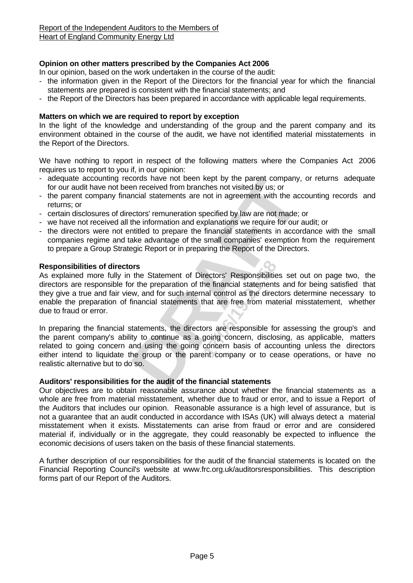# **Opinion on other matters prescribed by the Companies Act 2006**

In our opinion, based on the work undertaken in the course of the audit:

- the information given in the Report of the Directors for the financial year for which the financial statements are prepared is consistent with the financial statements; and<br>- the Report of the Directors has been prepared in accordance with applicable legal requirements.
- 

#### **Matters on which we are required to report by exception**

In the light of the knowledge and understanding of the group and the parent company and its environment obtained in the course of the audit, we have not identified material misstatements in the Report of the Directors.

We have nothing to report in respect of the following matters where the Companies Act 2006 requires us to report to you if, in our opinion:<br>- adequate accounting records have not been kept by the parent company, or returns adequate

- for our audit have not been received from branches not visited by us; or<br>- the parent company financial statements are not in agreement with the accounting records and
- returns; or<br>
 certain disclosures of directors' remuneration specified by law are not made; or<br>
 we have not received all the information and explanations we require for our audit; or<br>
 the directors were not entitled t
- 
- 
- companies regime and take advantage of the small companies' exemption from the requirement to prepare a Group Strategic Report or in preparing the Report of the Directors.

#### **Responsibilities of directors**

cords have not been kept by the parent company, or returns adequate<br>en received from branches not visited by us; or<br>encient and explanation the accounting records and<br>ectors' remuneration specified by law are not made; or<br> As explained more fully in the Statement of Directors' Responsibilities set out on page two, the directors are responsible for the preparation of the financial statements and for being satisfied that they give a true and fair view, and for such internal control as the directors determine necessary to enable the preparation of financial statements that are free from material misstatement, whether due to fraud or error.

In preparing the financial statements, the directors are responsible for assessing the group's and the parent company's ability to continue as a going concern, disclosing, as applicable, matters related to going concern and using the going concern basis of accounting unless the directors either intend to liquidate the group or the parent company or to cease operations, or have no realistic alternative but to do so.

#### **Auditors' responsibilities for the audit of the financial statements**

Our objectives are to obtain reasonable assurance about whether the financial statements as a whole are free from material misstatement, whether due to fraud or error, and to issue a Report of the Auditors that includes our opinion. Reasonable assurance is a high level of assurance, but is not a guarantee that an audit conducted in accordance with ISAs (UK) will always detect a material misstatement when it exists. Misstatements can arise from fraud or error and are considered material if, individually or in the aggregate, they could reasonably be expected to influence the economic decisions of users taken on the basis of these financial statements.<br>A further description of our responsibilities for the audit of the financial statements is located on the

Financial Reporting Council's website at www.frc.org.uk/auditorsresponsibilities. This description forms part of our Report of the Auditors.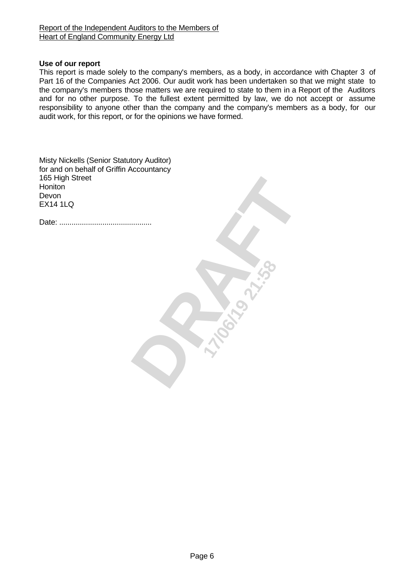#### **Use of our report**

This report is made solely to the company's members, as a body, in accordance with Chapter 3 of Part 16 of the Companies Act 2006. Our audit work has been undertaken so that we might state to the company's members those matters we are required to state to them in a Report of the Auditors and for no other purpose. To the fullest extent permitted by law, we do not accept or assume responsibility to anyone other than the company and the company's members as a body, for our audit work, for this report, or for the opinions we have formed.

**DRAFT** RAFTAS Misty Nickells (Senior Statutory Auditor) for and on behalf of Griffin Accountancy 165 High Street **Honiton** Devon EX14 1LQ

Date: .............................................

Page 6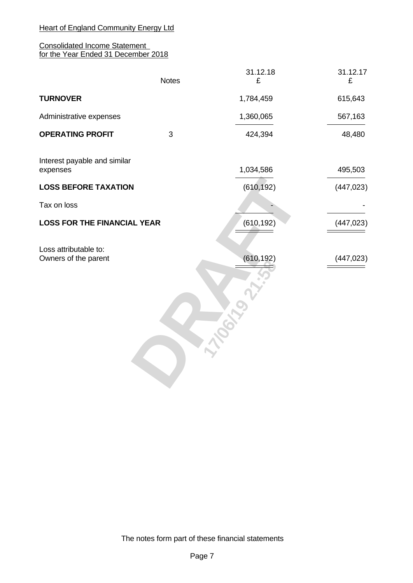#### Consolidated Income Statement for the Year Ended 31 December 2018

|                                               | <b>Notes</b> | 31.12.18                                   | 31.12.17<br>E |
|-----------------------------------------------|--------------|--------------------------------------------|---------------|
| <b>TURNOVER</b>                               |              | 1,784,459                                  | 615,643       |
| Administrative expenses                       |              | 1,360,065<br>the control of the control of | 567,163       |
| <b>OPERATING PROFIT</b>                       | $\mathbf{3}$ | 424,394                                    | 48,480        |
| Interest payable and similar<br>expenses      |              | 1,034,586                                  | 495,503       |
| <b>LOSS BEFORE TAXATION</b>                   |              | (610, 192)                                 | (447, 023)    |
| Tax on loss                                   |              |                                            | $\sim$        |
| <b>LOSS FOR THE FINANCIAL YEAR</b>            |              | (610, 192)<br>$\sim$ $\sim$                | (447, 023)    |
| Loss attributable to:<br>Owners of the parent |              | (610, 192)                                 | (447, 023)    |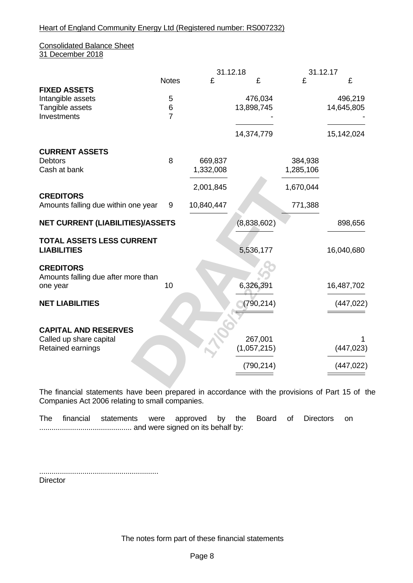#### Heart of England Community Energy Ltd (Registered number: RS007232)

#### Consolidated Balance Sheet 31 December 2018

|                                     |              |                                                             | 31.12.18                                     |                                                             | 31.12.17                                                                                                                                                                                                                                                                                                                                                                                                                                                                   |
|-------------------------------------|--------------|-------------------------------------------------------------|----------------------------------------------|-------------------------------------------------------------|----------------------------------------------------------------------------------------------------------------------------------------------------------------------------------------------------------------------------------------------------------------------------------------------------------------------------------------------------------------------------------------------------------------------------------------------------------------------------|
|                                     | <b>Notes</b> |                                                             |                                              | $\mathbf{c}$                                                | £                                                                                                                                                                                                                                                                                                                                                                                                                                                                          |
| <b>FIXED ASSETS</b>                 |              |                                                             |                                              |                                                             |                                                                                                                                                                                                                                                                                                                                                                                                                                                                            |
| Intangible assets                   |              |                                                             | 476,034                                      |                                                             | 496,219                                                                                                                                                                                                                                                                                                                                                                                                                                                                    |
| Tangible assets                     |              |                                                             | 13,898,745                                   |                                                             | 14,645,805                                                                                                                                                                                                                                                                                                                                                                                                                                                                 |
| Investments                         |              |                                                             | $\overline{\phantom{0}}$                     |                                                             |                                                                                                                                                                                                                                                                                                                                                                                                                                                                            |
|                                     |              |                                                             | the contract of the contract                 |                                                             | the contract of the contract of the contract of the contract of the contract of                                                                                                                                                                                                                                                                                                                                                                                            |
|                                     |              |                                                             | 14,374,779                                   |                                                             | 15,142,024                                                                                                                                                                                                                                                                                                                                                                                                                                                                 |
|                                     |              |                                                             |                                              |                                                             |                                                                                                                                                                                                                                                                                                                                                                                                                                                                            |
| <b>CURRENT ASSETS</b>               |              |                                                             |                                              |                                                             |                                                                                                                                                                                                                                                                                                                                                                                                                                                                            |
| Debtors                             | 8            | 669,837                                                     |                                              | 384,938                                                     |                                                                                                                                                                                                                                                                                                                                                                                                                                                                            |
| Cash at bank                        |              | 1,332,008                                                   |                                              | 1,285,106                                                   |                                                                                                                                                                                                                                                                                                                                                                                                                                                                            |
|                                     |              | the control of the control of the control of the control of |                                              | the control of the control of the control of the control of |                                                                                                                                                                                                                                                                                                                                                                                                                                                                            |
|                                     |              | 2,001,845                                                   |                                              | 1,670,044                                                   |                                                                                                                                                                                                                                                                                                                                                                                                                                                                            |
| <b>CREDITORS</b>                    |              |                                                             |                                              |                                                             |                                                                                                                                                                                                                                                                                                                                                                                                                                                                            |
| Amounts falling due within one year |              | 10,840,447                                                  |                                              | 771,388                                                     |                                                                                                                                                                                                                                                                                                                                                                                                                                                                            |
|                                     |              |                                                             |                                              |                                                             |                                                                                                                                                                                                                                                                                                                                                                                                                                                                            |
| NET CURRENT (LIABILITIES)/ASSETS    |              |                                                             | (8,838,602)                                  |                                                             | 898,656                                                                                                                                                                                                                                                                                                                                                                                                                                                                    |
|                                     |              |                                                             |                                              |                                                             | the contract of the contract of the contract of the contract of                                                                                                                                                                                                                                                                                                                                                                                                            |
| TOTAL ASSETS LESS CURRENT           |              |                                                             |                                              |                                                             |                                                                                                                                                                                                                                                                                                                                                                                                                                                                            |
| <b>LIABILITIES</b>                  |              |                                                             | 5,536,177                                    |                                                             | 16,040,680                                                                                                                                                                                                                                                                                                                                                                                                                                                                 |
|                                     |              |                                                             |                                              |                                                             |                                                                                                                                                                                                                                                                                                                                                                                                                                                                            |
| <b>CREDITORS</b>                    |              |                                                             |                                              |                                                             |                                                                                                                                                                                                                                                                                                                                                                                                                                                                            |
| Amounts falling due after more than |              |                                                             |                                              |                                                             |                                                                                                                                                                                                                                                                                                                                                                                                                                                                            |
| one year                            | 10           |                                                             | 6,326,391                                    |                                                             | 16,487,702                                                                                                                                                                                                                                                                                                                                                                                                                                                                 |
|                                     |              |                                                             | $-\Omega$                                    |                                                             | <u> The Common Section of the Common Section of</u>                                                                                                                                                                                                                                                                                                                                                                                                                        |
| <b>NET LIABILITIES</b>              |              |                                                             | (790, 214)                                   |                                                             | (447, 022)                                                                                                                                                                                                                                                                                                                                                                                                                                                                 |
|                                     |              |                                                             |                                              |                                                             | $\qquad \qquad \overbrace{\qquad \qquad }$                                                                                                                                                                                                                                                                                                                                                                                                                                 |
|                                     |              |                                                             |                                              |                                                             |                                                                                                                                                                                                                                                                                                                                                                                                                                                                            |
| <b>CAPITAL AND RESERVES</b>         |              |                                                             |                                              |                                                             |                                                                                                                                                                                                                                                                                                                                                                                                                                                                            |
| Called up share capital             |              |                                                             | 267,001                                      |                                                             |                                                                                                                                                                                                                                                                                                                                                                                                                                                                            |
| Retained earnings                   |              |                                                             | (1,057,215)                                  |                                                             | (447, 023)                                                                                                                                                                                                                                                                                                                                                                                                                                                                 |
|                                     |              |                                                             | the control of the control of the control of |                                                             | <u>and the state of the state of the state of the state of the state of the state of the state of the state of the state of the state of the state of the state of the state of the state of the state of the state of the state</u>                                                                                                                                                                                                                                       |
|                                     |              |                                                             | (790, 214)                                   |                                                             | (447, 022)                                                                                                                                                                                                                                                                                                                                                                                                                                                                 |
|                                     |              |                                                             |                                              |                                                             | $\frac{1}{2} \left( \frac{1}{2} \right) \left( \frac{1}{2} \right) \left( \frac{1}{2} \right) \left( \frac{1}{2} \right) \left( \frac{1}{2} \right) \left( \frac{1}{2} \right) \left( \frac{1}{2} \right) \left( \frac{1}{2} \right) \left( \frac{1}{2} \right) \left( \frac{1}{2} \right) \left( \frac{1}{2} \right) \left( \frac{1}{2} \right) \left( \frac{1}{2} \right) \left( \frac{1}{2} \right) \left( \frac{1}{2} \right) \left( \frac{1}{2} \right) \left( \frac$ |
|                                     |              |                                                             |                                              |                                                             |                                                                                                                                                                                                                                                                                                                                                                                                                                                                            |

The financial statements have been prepared in accordance with the provisions of Part 15 of the Companies Act 2006 relating to small companies.

The financial statements were approved by the Board of Directors on ............................................. and were signed on its behalf by:

..........................................................

**Director**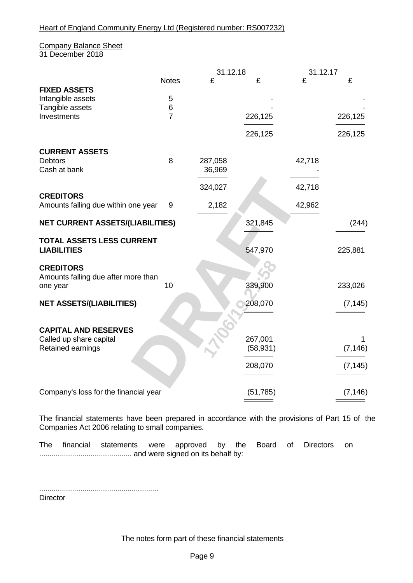#### Heart of England Community Energy Ltd (Registered number: RS007232)

#### Company Balance Sheet 31 December 2018

|                                       |              | 31.12.18                                     |                                     | 31.12.17     |                                                                                                                                                                                                                                                                                                                                                                                                                                                                                       |
|---------------------------------------|--------------|----------------------------------------------|-------------------------------------|--------------|---------------------------------------------------------------------------------------------------------------------------------------------------------------------------------------------------------------------------------------------------------------------------------------------------------------------------------------------------------------------------------------------------------------------------------------------------------------------------------------|
|                                       | <b>Notes</b> | $\mathbf{c}$                                 | £                                   | $\mathbf{C}$ | £                                                                                                                                                                                                                                                                                                                                                                                                                                                                                     |
| <b>FIXED ASSETS</b>                   |              |                                              |                                     |              |                                                                                                                                                                                                                                                                                                                                                                                                                                                                                       |
| Intangible assets                     |              |                                              |                                     |              |                                                                                                                                                                                                                                                                                                                                                                                                                                                                                       |
| Tangible assets                       |              |                                              |                                     |              | $\sim$                                                                                                                                                                                                                                                                                                                                                                                                                                                                                |
| Investments                           |              |                                              | 226,125                             |              | 226,125                                                                                                                                                                                                                                                                                                                                                                                                                                                                               |
|                                       |              |                                              |                                     |              | $\sim$ $\sim$ $\sim$ $\sim$                                                                                                                                                                                                                                                                                                                                                                                                                                                           |
|                                       |              |                                              | 226,125                             |              | 226,125                                                                                                                                                                                                                                                                                                                                                                                                                                                                               |
| <b>CURRENT ASSETS</b>                 |              |                                              |                                     |              |                                                                                                                                                                                                                                                                                                                                                                                                                                                                                       |
| Debtors                               | 8            | 287,058                                      |                                     | 42,718       |                                                                                                                                                                                                                                                                                                                                                                                                                                                                                       |
| Cash at bank                          |              | 36,969                                       |                                     |              |                                                                                                                                                                                                                                                                                                                                                                                                                                                                                       |
|                                       |              | the control of the control of the control of |                                     |              |                                                                                                                                                                                                                                                                                                                                                                                                                                                                                       |
|                                       |              | 324,027                                      |                                     | 42,718       |                                                                                                                                                                                                                                                                                                                                                                                                                                                                                       |
| <b>CREDITORS</b>                      |              |                                              |                                     |              |                                                                                                                                                                                                                                                                                                                                                                                                                                                                                       |
| Amounts falling due within one year 9 |              | 2,182                                        |                                     | 42,962       |                                                                                                                                                                                                                                                                                                                                                                                                                                                                                       |
|                                       |              |                                              |                                     |              |                                                                                                                                                                                                                                                                                                                                                                                                                                                                                       |
| NET CURRENT ASSETS/(LIABILITIES)      |              |                                              | 321,845                             |              | (244)                                                                                                                                                                                                                                                                                                                                                                                                                                                                                 |
|                                       |              |                                              |                                     |              |                                                                                                                                                                                                                                                                                                                                                                                                                                                                                       |
| TOTAL ASSETS LESS CURRENT             |              |                                              |                                     |              |                                                                                                                                                                                                                                                                                                                                                                                                                                                                                       |
| <b>LIABILITIES</b>                    |              |                                              | 547,970                             |              | 225,881                                                                                                                                                                                                                                                                                                                                                                                                                                                                               |
|                                       |              |                                              |                                     |              |                                                                                                                                                                                                                                                                                                                                                                                                                                                                                       |
| <b>CREDITORS</b>                      |              |                                              |                                     |              |                                                                                                                                                                                                                                                                                                                                                                                                                                                                                       |
| Amounts falling due after more than   |              |                                              |                                     |              |                                                                                                                                                                                                                                                                                                                                                                                                                                                                                       |
| one year                              | 10           |                                              | 339,900                             |              | 233,026<br>$\frac{1}{2} \left( \frac{1}{2} \right) \left( \frac{1}{2} \right) \left( \frac{1}{2} \right) \left( \frac{1}{2} \right) \left( \frac{1}{2} \right) \left( \frac{1}{2} \right) \left( \frac{1}{2} \right) \left( \frac{1}{2} \right) \left( \frac{1}{2} \right) \left( \frac{1}{2} \right) \left( \frac{1}{2} \right) \left( \frac{1}{2} \right) \left( \frac{1}{2} \right) \left( \frac{1}{2} \right) \left( \frac{1}{2} \right) \left( \frac{1}{2} \right) \left( \frac$ |
| <b>NET ASSETS/(LIABILITIES)</b>       |              |                                              |                                     |              |                                                                                                                                                                                                                                                                                                                                                                                                                                                                                       |
|                                       |              |                                              | 208,070<br>$\overline{\phantom{a}}$ |              | (7, 145)<br>$\qquad \qquad \overbrace{\qquad \qquad }$                                                                                                                                                                                                                                                                                                                                                                                                                                |
|                                       |              |                                              |                                     |              |                                                                                                                                                                                                                                                                                                                                                                                                                                                                                       |
| <b>CAPITAL AND RESERVES</b>           |              |                                              |                                     |              |                                                                                                                                                                                                                                                                                                                                                                                                                                                                                       |
| Called up share capital               |              |                                              | 267,001                             |              |                                                                                                                                                                                                                                                                                                                                                                                                                                                                                       |
| Retained earnings                     |              |                                              | (58, 931)                           |              | (7, 146)                                                                                                                                                                                                                                                                                                                                                                                                                                                                              |
|                                       |              |                                              |                                     |              |                                                                                                                                                                                                                                                                                                                                                                                                                                                                                       |
|                                       |              |                                              | 208,070                             |              | (7, 145)                                                                                                                                                                                                                                                                                                                                                                                                                                                                              |
|                                       |              |                                              |                                     |              | $\qquad \qquad =\qquad$                                                                                                                                                                                                                                                                                                                                                                                                                                                               |
|                                       |              |                                              |                                     |              |                                                                                                                                                                                                                                                                                                                                                                                                                                                                                       |
| Company's loss for the financial year |              |                                              | (51, 785)                           |              | (7, 146)                                                                                                                                                                                                                                                                                                                                                                                                                                                                              |
|                                       |              |                                              |                                     |              | $\mathcal{L}(\mathcal{L})$ and $\mathcal{L}(\mathcal{L})$                                                                                                                                                                                                                                                                                                                                                                                                                             |

The financial statements have been prepared in accordance with the provisions of Part 15 of the Companies Act 2006 relating to small companies.

The financial statements were approved by the Board of Directors on ............................................. and were signed on its behalf by:

..........................................................

**Director** 

The notes form part of these financial statements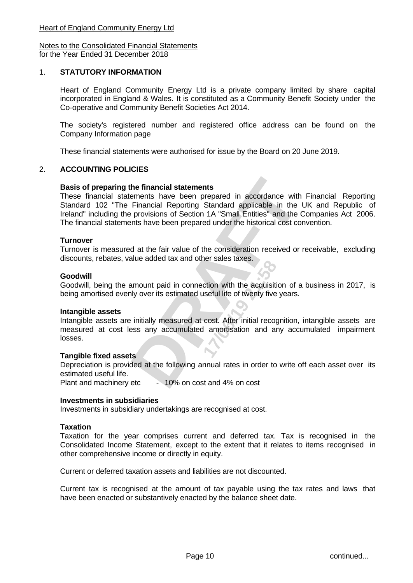#### 1. **STATUTORY INFORMATION**

Heart of England Community Energy Ltd is a private company limited by share capital incorporated in England & Wales. It is constituted as a Community Benefit Society under the Co-operative and Community Benefit Societies Act 2014.

The society's registered number and registered office address can be found on the Company Information page

These financial statements were authorised for issue by the Board on 20 June 2019.

#### 2. **ACCOUNTING POLICIES**

#### **Basis of preparing the financial statements**

the financial statements<br>
emennts have been prepared in accordance with Financial Reporting<br>
Financial Reporting Standard applicable in the UK and Republic of<br>
provisions of Section 1A "Small Entities" and the Companies Ac These financial statements have been prepared in accordance with Financial Reporting Standard 102 "The Financial Reporting Standard applicable in the UK and Republic of Ireland" including the provisions of Section 1A "Small Entities" and the Companies Act 2006. The financial statements have been prepared under the historical cost convention.

#### **Turnover**

Turnover is measured at the fair value of the consideration received or receivable, excluding discounts, rebates, value added tax and other sales taxes.

#### **Goodwill**

Goodwill, being the amount paid in connection with the acquisition of a business in 2017, is being amortised evenly over its estimated useful life of twenty five years.

#### **Intangible assets**

Intangible assets are initially measured at cost. After initial recognition, intangible assets are measured at cost less any accumulated amortisation and any accumulated impairment losses.

#### **Tangible fixed assets**

Depreciation is provided at the following annual rates in order to write off each asset over its estimated useful life.

Plant and machinery etc - 10% on cost and 4% on cost

#### **Investments in subsidiaries**

Investments in subsidiary undertakings are recognised at cost.

#### **Taxation**

Taxation for the year comprises current and deferred tax. Tax is recognised in the Consolidated Income Statement, except to the extent that it relates to items recognised in other comprehensive income or directly in equity.

Current or deferred taxation assets and liabilities are not discounted.

Current tax is recognised at the amount of tax payable using the tax rates and laws that have been enacted or substantively enacted by the balance sheet date.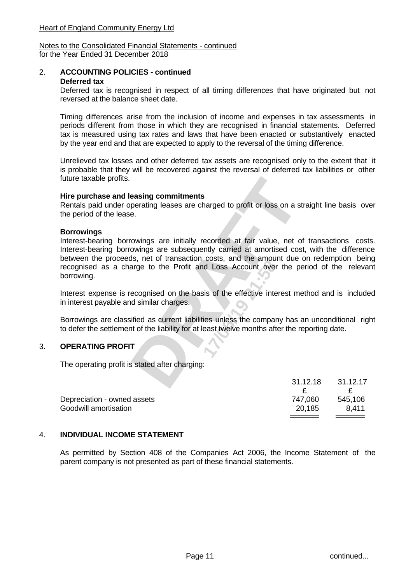#### 2. **ACCOUNTING POLICIES - continued**

#### **Deferred tax**

Deferred tax is recognised in respect of all timing differences that have originated but not reversed at the balance sheet date.

Timing differences arise from the inclusion of income and expenses in tax assessments in periods different from those in which they are recognised in financial statements. Deferred tax is measured using tax rates and laws that have been enacted or substantively enacted by the year end and that are expected to apply to the reversal of the timing difference.

Unrelieved tax losses and other deferred tax assets are recognised only to the extent that it is probable that they will be recovered against the reversal of deferred tax liabilities or other future taxable profits.

#### **Hire purchase and leasing commitments**

Rentals paid under operating leases are charged to profit or loss on a straight line basis over the period of the lease.

#### **Borrowings**

**Example commitments**<br>
Decaying leases are charged to profit or loss on a straight line basis over<br>
E.<br>
DRAFT COMPT COMPT COMPT COMPT CONSIDE A CONSIDE AND CONSIDE ASS, net of transaction costs, and the amount due on redem Interest-bearing borrowings are initially recorded at fair value, net of transactions costs. Interest-bearing borrowings are subsequently carried at amortised cost, with the difference between the proceeds, net of transaction costs, and the amount due on redemption being recognised as a charge to the Profit and Loss Account over the period of the relevant borrowing.

Interest expense is recognised on the basis of the effective interest method and is included in interest payable and similar charges.

Borrowings are classified as current liabilities unless the company has an unconditional right to defer the settlement of the liability for at least twelve months after the reporting date.

# 3. **OPERATING PROFIT**

The operating profit is stated after charging:

|                             | 31.12.18 | 31.12.17 |  |
|-----------------------------|----------|----------|--|
|                             |          |          |  |
| Depreciation - owned assets | 747,060  | 545,106  |  |
| Goodwill amortisation       | 20,185   | 8.411    |  |
|                             |          |          |  |

#### 4. **INDIVIDUAL INCOME STATEMENT**

As permitted by Section 408 of the Companies Act 2006, the Income Statement of the parent company is not presented as part of these financial statements.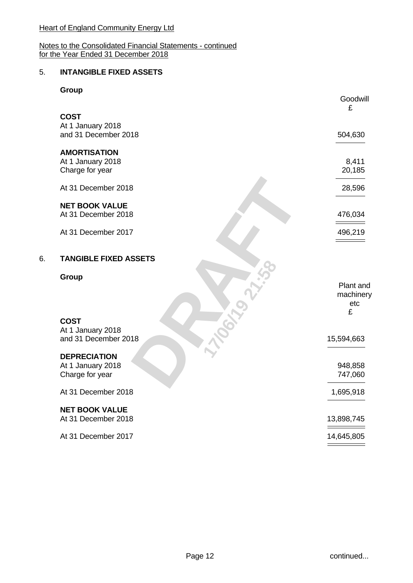# 5. **INTANGIBLE FIXED ASSETS**

|    | Group                                        |                                                                                                                                                                                                                                                                                                                                                                                                                                     |
|----|----------------------------------------------|-------------------------------------------------------------------------------------------------------------------------------------------------------------------------------------------------------------------------------------------------------------------------------------------------------------------------------------------------------------------------------------------------------------------------------------|
|    |                                              | Goodwill                                                                                                                                                                                                                                                                                                                                                                                                                            |
|    |                                              | ຼ                                                                                                                                                                                                                                                                                                                                                                                                                                   |
|    | <b>COST</b>                                  |                                                                                                                                                                                                                                                                                                                                                                                                                                     |
|    | At 1 January 2018<br>and 31 December 2018    | 504,630                                                                                                                                                                                                                                                                                                                                                                                                                             |
|    |                                              |                                                                                                                                                                                                                                                                                                                                                                                                                                     |
|    | <b>AMORTISATION</b>                          |                                                                                                                                                                                                                                                                                                                                                                                                                                     |
|    | At 1 January 2018                            | 8,411                                                                                                                                                                                                                                                                                                                                                                                                                               |
|    | Charge for year                              | 20,185                                                                                                                                                                                                                                                                                                                                                                                                                              |
|    |                                              |                                                                                                                                                                                                                                                                                                                                                                                                                                     |
|    | At 31 December 2018                          | 28,596                                                                                                                                                                                                                                                                                                                                                                                                                              |
|    |                                              |                                                                                                                                                                                                                                                                                                                                                                                                                                     |
|    | <b>NET BOOK VALUE</b><br>At 31 December 2018 | 476,034                                                                                                                                                                                                                                                                                                                                                                                                                             |
|    |                                              | $\qquad \qquad \overbrace{\qquad \qquad }$                                                                                                                                                                                                                                                                                                                                                                                          |
|    | At 31 December 2017                          | 496,219                                                                                                                                                                                                                                                                                                                                                                                                                             |
|    |                                              | $\qquad \qquad =$                                                                                                                                                                                                                                                                                                                                                                                                                   |
|    |                                              |                                                                                                                                                                                                                                                                                                                                                                                                                                     |
| ົດ | <b>TANGIBLE FIXED ASSETS</b>                 |                                                                                                                                                                                                                                                                                                                                                                                                                                     |
|    |                                              |                                                                                                                                                                                                                                                                                                                                                                                                                                     |
|    | Group                                        | Plant and                                                                                                                                                                                                                                                                                                                                                                                                                           |
|    |                                              | machinery                                                                                                                                                                                                                                                                                                                                                                                                                           |
|    |                                              | etc                                                                                                                                                                                                                                                                                                                                                                                                                                 |
|    |                                              | £                                                                                                                                                                                                                                                                                                                                                                                                                                   |
|    | <b>COST</b>                                  |                                                                                                                                                                                                                                                                                                                                                                                                                                     |
|    | At 1 January 2018                            |                                                                                                                                                                                                                                                                                                                                                                                                                                     |
|    | and 31 December 2018                         | 15,594,663                                                                                                                                                                                                                                                                                                                                                                                                                          |
|    | <b>DEPRECIATION</b>                          |                                                                                                                                                                                                                                                                                                                                                                                                                                     |
|    | At 1 January 2018                            | 948,858                                                                                                                                                                                                                                                                                                                                                                                                                             |
|    | Charge for year                              | 747,060                                                                                                                                                                                                                                                                                                                                                                                                                             |
|    |                                              | the control of the control of the                                                                                                                                                                                                                                                                                                                                                                                                   |
|    | At 31 December 2018                          | 1,695,918                                                                                                                                                                                                                                                                                                                                                                                                                           |
|    |                                              |                                                                                                                                                                                                                                                                                                                                                                                                                                     |
|    | <b>NET BOOK VALUE</b>                        |                                                                                                                                                                                                                                                                                                                                                                                                                                     |
|    | At 31 December 2018                          | 13,898,745<br>$\frac{1}{\frac{1}{1-\frac{1}{1-\frac{1}{1-\frac{1}{1-\frac{1}{1-\frac{1}{1-\frac{1}{1-\frac{1}{1-\frac{1}{1-\frac{1}{1-\frac{1}{1-\frac{1}{1-\frac{1}{1-\frac{1}{1-\frac{1}{1-\frac{1}{1-\frac{1}{1-\frac{1}{1-\frac{1}{1-\frac{1}{1-\frac{1}{1-\frac{1}{1-\frac{1}{1-\frac{1}{1-\frac{1}{1-\frac{1}{1-\frac{1}{1-\frac{1}{1-\frac{1}{1-\frac{1}{1-\frac{1}{1-\frac{1}{1-\frac{1}{1-\frac{1}{1-\frac{1}{1-\frac{1}{$ |
|    |                                              | 14,645,805                                                                                                                                                                                                                                                                                                                                                                                                                          |
|    | At 31 December 2017                          |                                                                                                                                                                                                                                                                                                                                                                                                                                     |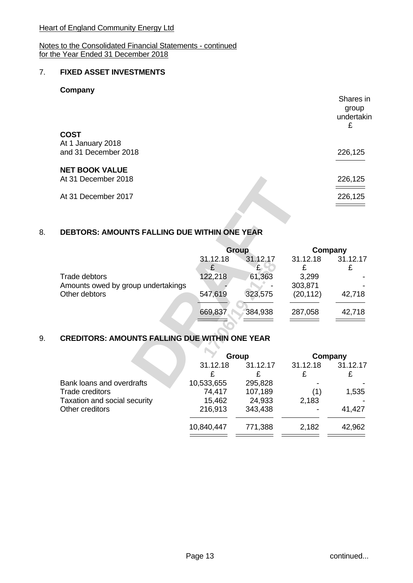# 7. **FIXED ASSET INVESTMENTS**

# **Company**

|                                                          | Shares in<br>group<br>undertakin<br>£ |  |
|----------------------------------------------------------|---------------------------------------|--|
| <b>COST</b><br>At 1 January 2018<br>and 31 December 2018 | 226,125                               |  |
| <b>NET BOOK VALUE</b><br>At 31 December 2018             | 226,125                               |  |
| At 31 December 2017                                      | 226,125                               |  |

# 8. **DEBTORS: AMOUNTS FALLING DUE WITHIN ONE YEAR**

| At 31 December 2018                                   |              |                    |                                                                                 | 226,125<br>$\qquad \qquad \overbrace{\qquad \qquad }$ |
|-------------------------------------------------------|--------------|--------------------|---------------------------------------------------------------------------------|-------------------------------------------------------|
| At 31 December 2017                                   |              |                    |                                                                                 | 226,125<br>$\qquad \qquad =$                          |
| DEBTORS: AMOUNTS FALLING DUE WITHIN ONE YEAR          |              |                    |                                                                                 |                                                       |
|                                                       | <b>Group</b> |                    | Company                                                                         |                                                       |
|                                                       | 31.12.18     | 31.12.17<br>$\sim$ | 31.12.18                                                                        | 31.12.17                                              |
| Trade debtors                                         | 122,218      | 61,363             | 3,299                                                                           | $\overline{\phantom{0}}$                              |
| Amounts owed by group undertakings                    |              |                    | 303,871                                                                         | $\sim$                                                |
| Other debtors                                         | 547,619      | 323,575            | (20, 112)                                                                       | 42,718                                                |
|                                                       | 669,837      | 384,938            | 287,058                                                                         | 42,718                                                |
|                                                       |              |                    | the contract of the contract of the contract of the contract of the contract of |                                                       |
| <b>CREDITORS: AMOUNTS FALLING DUE WITHIN ONE YEAR</b> |              |                    |                                                                                 |                                                       |
|                                                       | Group        |                    | Company                                                                         |                                                       |
|                                                       | 31.12.18     | 31.12.17           | 31.12.18                                                                        | 31.12.17                                              |
|                                                       |              |                    |                                                                                 |                                                       |
| Bank loans and overdrafts                             | 10,533,655   | 295,828            |                                                                                 |                                                       |

# 9. **CREDITORS: AMOUNTS FALLING DUE WITHIN ONE YEAR**

|                              |            | Group    |          | Company  |
|------------------------------|------------|----------|----------|----------|
|                              | 31.12.18   | 31.12.17 | 31.12.18 | 31.12.17 |
|                              |            | £        |          |          |
| Bank loans and overdrafts    | 10,533,655 | 295,828  |          |          |
| Trade creditors              | 74,417     | 107,189  | (1)      | 1,535    |
| Taxation and social security | 15,462     | 24,933   | 2,183    |          |
| Other creditors              | 216,913    | 343,438  |          | 41,427   |
|                              | 10,840,447 | 771,388  | 2,182    | 42,962   |
|                              |            |          |          |          |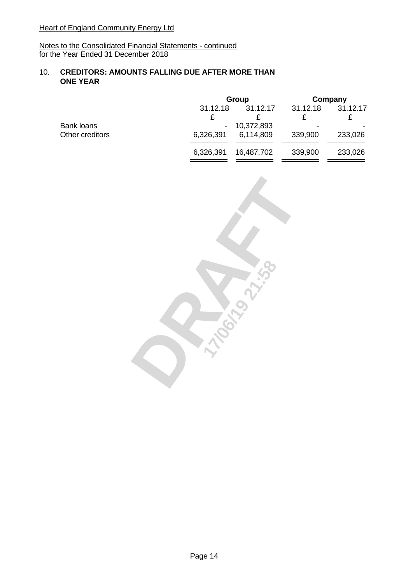# 10. **CREDITORS: AMOUNTS FALLING DUE AFTER MORE THAN ONE YEAR**

|                 |           | Group      |          | Company  |
|-----------------|-----------|------------|----------|----------|
|                 | 31.12.18  | 31.12.17   | 31.12.18 | 31.12.17 |
|                 |           | £          |          |          |
| Bank loans      | $\sim$    | 10,372,893 |          |          |
| Other creditors | 6,326,391 | 6,114,809  | 339,900  | 233,026  |
|                 | 6,326,391 | 16,487,702 | 339,900  | 233,026  |

**DRAFT** RAFTAS

Page 14